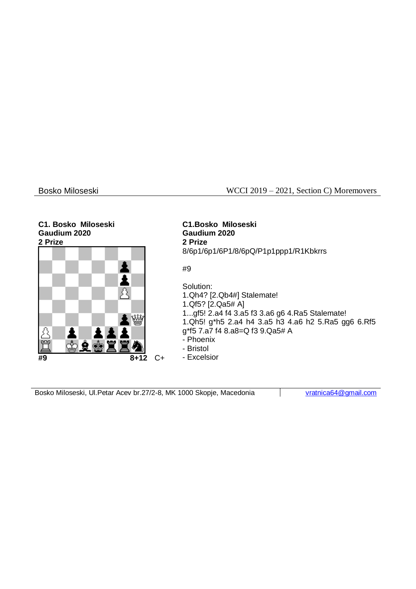## Bosko Miloseski WCCI 2019 – 2021, Section C) Moremovers

# **C1. Bosko Miloseski Gaudium 2020**



**C1.Bosko Miloseski Gaudium 2020 2 Prize** 8/6p1/6p1/6P1/8/6pQ/P1p1ppp1/R1Kbkrrs

#9

Solution: 1.Qh4? [2.Qb4#] Stalemate! 1.Qf5? [2.Qa5# A] 1...gf5! 2.a4 f4 3.a5 f3 3.a6 g6 4.Ra5 Stalemate! 1.Qh5! g\*h5 2.a4 h4 3.a5 h3 4.a6 h2 5.Ra5 gg6 6.Rf5 g\*f5 7.a7 f4 8.a8=Q f3 9.Qa5# A - Phoenix - Bristol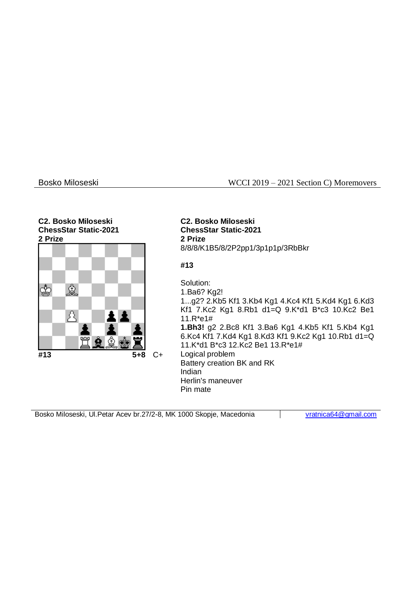## Bosko Miloseski WCCI 2019 – 2021 Section C) Moremovers

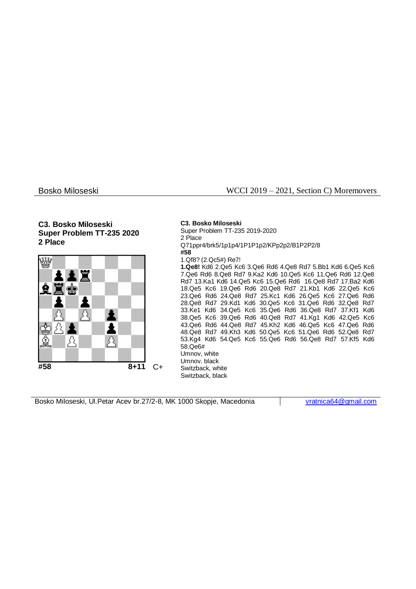### **C3. Bosko Miloseski Super Problem TT-235 2020 2 Place**



Bosko Miloseski WCCI 2019 – 2021, Section C) Moremovers

**C3. Bosko Miloseski** Super Problem TT-235 2019-2020 2 Place Q71ppr4/brk5/1p1p4/1P1P1p2/KPp2p2/B1P2P2/8 **#58** 1.Qf8? (2.Qc5#) Re7! **1.Qe8!** Kd6 2.Qe5 Kc6 3.Qe6 Rd6 4.Qe8 Rd7 5.Bb1 Kd6 6.Qe5 Kc6 7.Qe6 Rd6 8.Qe8 Rd7 9.Ka2 Kd6 10.Qe5 Kc6 11.Qe6 Rd6 12.Qe8 Rd7 13.Ka1 Kd6 14.Qe5 Kc6 15.Qe6 Rd6 16.Qe8 Rd7 17.Ba2 Kd6 18.Qe5 Kc6 19.Qe6 Rd6 20.Qe8 Rd7 21.Kb1 Kd6 22.Qe5 Kc6 23.Qe6 Rd6 24.Qe8 Rd7 25.Kc1 Kd6 26.Qe5 Kc6 27.Qe6 Rd6 28.Qe8 Rd7 29.Kd1 Kd6 30.Qe5 Kc6 31.Qe6 Rd6 32.Qe8 Rd7 33.Ke1 Kd6 34.Qe5 Kc6 35.Qe6 Rd6 36.Qe8 Rd7 37.Kf1 Kd6 38.Qe5 Kc6 39.Qe6 Rd6 40.Qe8 Rd7 41.Kg1 Kd6 42.Qe5 Kc6 43.Qe6 Rd6 44.Qe8 Rd7 45.Kh2 Kd6 46.Qe5 Kc6 47.Qe6 Rd6 48.Qe8 Rd7 49.Kh3 Kd6 50.Qe5 Kc6 51.Qe6 Rd6 52.Qe8 Rd7 53.Kg4 Kd6 54.Qe5 Kc6 55.Qe6 Rd6 56.Qe8 Rd7 57.Kf5 Kd6 58.Qe6# Umnov, white Umnov. black Switzback, white Switzback, black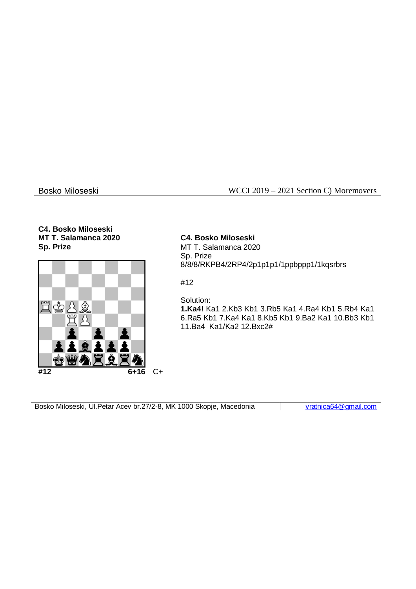## Bosko Miloseski WCCI 2019 – 2021 Section C) Moremovers

## **C4. Bosko Miloseski MT T. Salamanca 2020 Sp. Prize**



**C4. Bosko Miloseski** MT T. Salamanca 2020 Sp. Prize 8/8/8/RKPB4/2RP4/2p1p1p1/1ppbppp1/1kqsrbrs

#12

Solution: **1.Ka4!** Ka1 2.Kb3 Kb1 3.Rb5 Ka1 4.Ra4 Kb1 5.Rb4 Ka1 6.Ra5 Kb1 7.Ka4 Ka1 8.Kb5 Kb1 9.Ba2 Ka1 10.Bb3 Kb1 11.Ba4 Ka1/Ka2 12.Bxc2#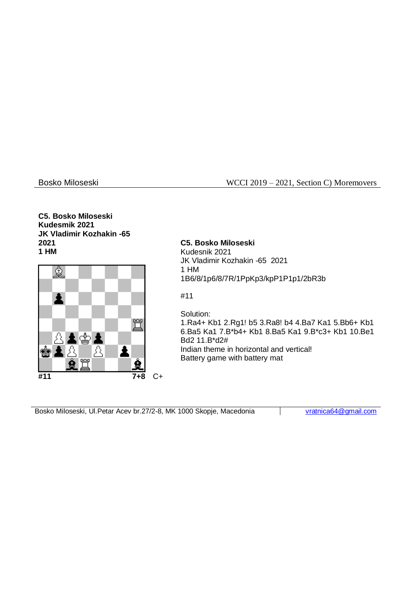## Bosko Miloseski WCCI 2019 – 2021, Section C) Moremovers

### **C5. Bosko Miloseski Kudesmik 2021 JK Vladimir Kozhakin -65 2021 1 HM**



## **C5. Bosko Miloseski**

Kudesnik 2021 JK Vladimir Kozhakin -65 2021 1 HM 1B6/8/1p6/8/7R/1PpKp3/kpP1P1p1/2bR3b

## #11

Solution:

1.Ra4+ Kb1 2.Rg1! b5 3.Ra8! b4 4.Ba7 Ka1 5.Bb6+ Kb1 6.Ba5 Ka1 7.B\*b4+ Kb1 8.Ba5 Ka1 9.B\*c3+ Kb1 10.Be1 Bd2 11.B\*d2# Indian theme in horizontal and vertical! Battery game with battery mat